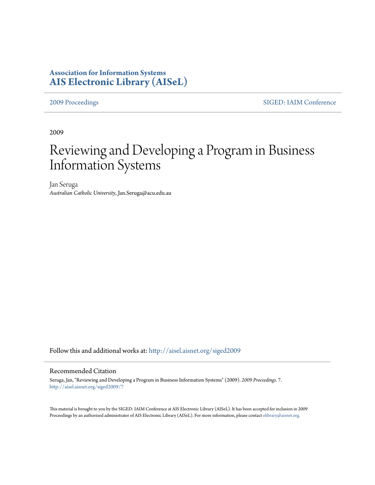# **Association for Information Systems [AIS Electronic Library \(AISeL\)](http://aisel.aisnet.org?utm_source=aisel.aisnet.org%2Fsiged2009%2F7&utm_medium=PDF&utm_campaign=PDFCoverPages)**

[2009 Proceedings](http://aisel.aisnet.org/siged2009?utm_source=aisel.aisnet.org%2Fsiged2009%2F7&utm_medium=PDF&utm_campaign=PDFCoverPages) [SIGED: IAIM Conference](http://aisel.aisnet.org/siged?utm_source=aisel.aisnet.org%2Fsiged2009%2F7&utm_medium=PDF&utm_campaign=PDFCoverPages)

2009

# Reviewing and Developing a Program in Business Information Systems

Jan Seruga *Australian Catholic University*, Jan.Seruga@acu.edu.au

Follow this and additional works at: [http://aisel.aisnet.org/siged2009](http://aisel.aisnet.org/siged2009?utm_source=aisel.aisnet.org%2Fsiged2009%2F7&utm_medium=PDF&utm_campaign=PDFCoverPages)

#### Recommended Citation

Seruga, Jan, "Reviewing and Developing a Program in Business Information Systems" (2009). *2009 Proceedings*. 7. [http://aisel.aisnet.org/siged2009/7](http://aisel.aisnet.org/siged2009/7?utm_source=aisel.aisnet.org%2Fsiged2009%2F7&utm_medium=PDF&utm_campaign=PDFCoverPages)

This material is brought to you by the SIGED: IAIM Conference at AIS Electronic Library (AISeL). It has been accepted for inclusion in 2009 Proceedings by an authorized administrator of AIS Electronic Library (AISeL). For more information, please contact [elibrary@aisnet.org](mailto:elibrary@aisnet.org%3E).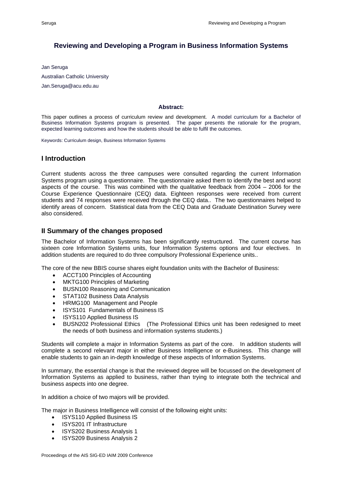## **Reviewing and Developing a Program in Business Information Systems**

Jan Seruga Australian Catholic University Jan.Seruga@acu.edu.au

#### **Abstract:**

This paper outlines a process of curriculum review and development. A model curriculum for a Bachelor of Business Information Systems program is presented. The paper presents the rationale for the program, expected learning outcomes and how the students should be able to fulfil the outcomes.

Keywords: Curriculum design, Business Information Systems

### **I Introduction**

Current students across the three campuses were consulted regarding the current Information Systems program using a questionnaire. The questionnaire asked them to identify the best and worst aspects of the course. This was combined with the qualitative feedback from 2004 – 2006 for the Course Experience Questionnaire (CEQ) data. Eighteen responses were received from current students and 74 responses were received through the CEQ data.. The two questionnaires helped to identify areas of concern. Statistical data from the CEQ Data and Graduate Destination Survey were also considered.

#### **II Summary of the changes proposed**

The Bachelor of Information Systems has been significantly restructured. The current course has sixteen core Information Systems units, four Information Systems options and four electives. In addition students are required to do three compulsory Professional Experience units..

The core of the new BBIS course shares eight foundation units with the Bachelor of Business:

- ACCT100 Principles of Accounting
- MKTG100 Principles of Marketing
- BUSN100 Reasoning and Communication
- STAT102 Business Data Analysis
- HRMG100 Management and People
- ISYS101 Fundamentals of Business IS
- ISYS110 Applied Business IS
- BUSN202 Professional Ethics (The Professional Ethics unit has been redesigned to meet the needs of both business and information systems students.)

Students will complete a major in Information Systems as part of the core. In addition students will complete a second relevant major in either Business Intelligence or e-Business. This change will enable students to gain an in-depth knowledge of these aspects of Information Systems.

In summary, the essential change is that the reviewed degree will be focussed on the development of Information Systems as applied to business, rather than trying to integrate both the technical and business aspects into one degree.

In addition a choice of two majors will be provided.

The major in Business Intelligence will consist of the following eight units:

- ISYS110 Applied Business IS
- ISYS201 IT Infrastructure
- ISYS202 Business Analysis 1
- ISYS209 Business Analysis 2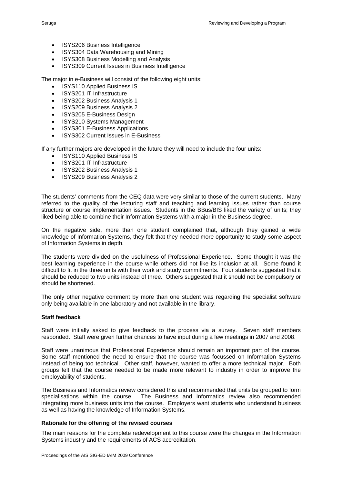- ISYS206 Business Intelligence
- ISYS304 Data Warehousing and Mining
- ISYS308 Business Modelling and Analysis
- ISYS309 Current Issues in Business Intelligence

The major in e-Business will consist of the following eight units:

- ISYS110 Applied Business IS
- ISYS201 IT Infrastructure
- ISYS202 Business Analysis 1
- ISYS209 Business Analysis 2
- ISYS205 E-Business Design
- ISYS210 Systems Management
- ISYS301 E-Business Applications
- ISYS302 Current Issues in E-Business

If any further majors are developed in the future they will need to include the four units:

- ISYS110 Applied Business IS
- ISYS201 IT Infrastructure
- ISYS202 Business Analysis 1
- ISYS209 Business Analysis 2

The students' comments from the CEQ data were very similar to those of the current students. Many referred to the quality of the lecturing staff and teaching and learning issues rather than course structure or course implementation issues. Students in the BBus/BIS liked the variety of units; they liked being able to combine their Information Systems with a major in the Business degree.

On the negative side, more than one student complained that, although they gained a wide knowledge of Information Systems, they felt that they needed more opportunity to study some aspect of Information Systems in depth.

The students were divided on the usefulness of Professional Experience. Some thought it was the best learning experience in the course while others did not like its inclusion at all. Some found it difficult to fit in the three units with their work and study commitments. Four students suggested that it should be reduced to two units instead of three. Others suggested that it should not be compulsory or should be shortened.

The only other negative comment by more than one student was regarding the specialist software only being available in one laboratory and not available in the library.

#### **Staff feedback**

Staff were initially asked to give feedback to the process via a survey. Seven staff members responded. Staff were given further chances to have input during a few meetings in 2007 and 2008.

Staff were unanimous that Professional Experience should remain an important part of the course. Some staff mentioned the need to ensure that the course was focussed on Information Systems instead of being too technical. Other staff, however, wanted to offer a more technical major. Both groups felt that the course needed to be made more relevant to industry in order to improve the employability of students.

The Business and Informatics review considered this and recommended that units be grouped to form specialisations within the course. The Business and Informatics review also recommended integrating more business units into the course. Employers want students who understand business as well as having the knowledge of Information Systems.

#### **Rationale for the offering of the revised courses**

The main reasons for the complete redevelopment to this course were the changes in the Information Systems industry and the requirements of ACS accreditation.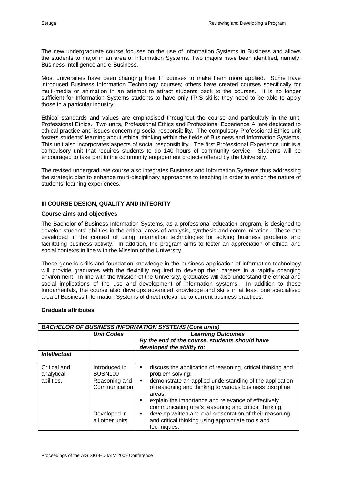The new undergraduate course focuses on the use of Information Systems in Business and allows the students to major in an area of Information Systems. Two majors have been identified, namely, Business Intelligence and e-Business.

Most universities have been changing their IT courses to make them more applied. Some have introduced Business Information Technology courses; others have created courses specifically for multi-media or animation in an attempt to attract students back to the courses. It is no longer sufficient for Information Systems students to have only IT/IS skills; they need to be able to apply those in a particular industry.

Ethical standards and values are emphasised throughout the course and particularly in the unit, Professional Ethics. Two units, Professional Ethics and Professional Experience A, are dedicated to ethical practice and issues concerning social responsibility. The compulsory Professional Ethics unit fosters students' learning about ethical thinking within the fields of Business and Information Systems. This unit also incorporates aspects of social responsibility. The first Professional Experience unit is a compulsory unit that requires students to do 140 hours of community service. Students will be encouraged to take part in the community engagement projects offered by the University.

The revised undergraduate course also integrates Business and Information Systems thus addressing the strategic plan to enhance multi-disciplinary approaches to teaching in order to enrich the nature of students' learning experiences.

#### **III COURSE DESIGN, QUALITY AND INTEGRITY**

#### **Course aims and objectives**

The Bachelor of Business Information Systems, as a professional education program, is designed to develop students' abilities in the critical areas of analysis, synthesis and communication. These are developed in the context of using information technologies for solving business problems and facilitating business activity. In addition, the program aims to foster an appreciation of ethical and social contexts in line with the Mission of the University.

These generic skills and foundation knowledge in the business application of information technology will provide graduates with the flexibility required to develop their careers in a rapidly changing environment. In line with the Mission of the University, graduates will also understand the ethical and social implications of the use and development of information systems. In addition to these fundamentals, the course also develops advanced knowledge and skills in at least one specialised area of Business Information Systems of direct relevance to current business practices.

#### **Graduate attributes**

| <b>BACHELOR OF BUSINESS INFORMATION SYSTEMS (Core units)</b> |                                                                                                      |                                                                                                                                                                                                                                                                                                                                                                                                                                                                                                  |  |  |  |
|--------------------------------------------------------------|------------------------------------------------------------------------------------------------------|--------------------------------------------------------------------------------------------------------------------------------------------------------------------------------------------------------------------------------------------------------------------------------------------------------------------------------------------------------------------------------------------------------------------------------------------------------------------------------------------------|--|--|--|
|                                                              | <b>Unit Codes</b>                                                                                    | <b>Learning Outcomes</b><br>By the end of the course, students should have<br>developed the ability to:                                                                                                                                                                                                                                                                                                                                                                                          |  |  |  |
| <b>Intellectual</b>                                          |                                                                                                      |                                                                                                                                                                                                                                                                                                                                                                                                                                                                                                  |  |  |  |
| Critical and<br>analytical<br>abilities.                     | Introduced in<br><b>BUSN100</b><br>Reasoning and<br>Communication<br>Developed in<br>all other units | discuss the application of reasoning, critical thinking and<br>٠<br>problem solving;<br>demonstrate an applied understanding of the application<br>$\blacksquare$<br>of reasoning and thinking to various business discipline<br>areas:<br>explain the importance and relevance of effectively<br>٠<br>communicating one's reasoning and critical thinking;<br>develop written and oral presentation of their reasoning<br>٠<br>and critical thinking using appropriate tools and<br>techniques. |  |  |  |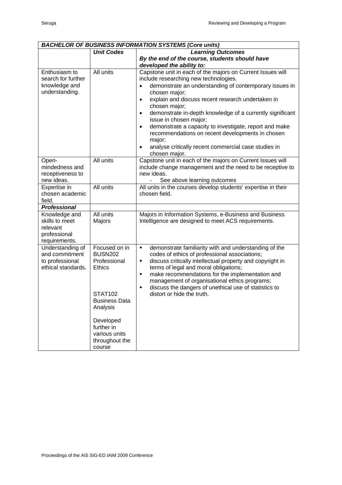| <b>BACHELOR OF BUSINESS INFORMATION SYSTEMS (Core units)</b> |                      |                                                                                                               |  |  |
|--------------------------------------------------------------|----------------------|---------------------------------------------------------------------------------------------------------------|--|--|
|                                                              | <b>Unit Codes</b>    | <b>Learning Outcomes</b>                                                                                      |  |  |
|                                                              |                      | By the end of the course, students should have                                                                |  |  |
|                                                              |                      | developed the ability to:                                                                                     |  |  |
| Enthusiasm to                                                | All units            | Capstone unit in each of the majors on Current Issues will                                                    |  |  |
| search for further                                           |                      | include researching new technologies.                                                                         |  |  |
| knowledge and                                                |                      | demonstrate an understanding of contemporary issues in                                                        |  |  |
| understanding.                                               |                      | chosen major;                                                                                                 |  |  |
|                                                              |                      | explain and discuss recent research undertaken in<br>$\bullet$                                                |  |  |
|                                                              |                      | chosen major;                                                                                                 |  |  |
|                                                              |                      | demonstrate in-depth knowledge of a currently significant<br>$\bullet$<br>issue in chosen major;              |  |  |
|                                                              |                      | demonstrate a capacity to investigate, report and make<br>$\bullet$                                           |  |  |
|                                                              |                      | recommendations on recent developments in chosen                                                              |  |  |
|                                                              |                      | major;                                                                                                        |  |  |
|                                                              |                      | analyse critically recent commercial case studies in<br>$\bullet$                                             |  |  |
|                                                              |                      | chosen major.                                                                                                 |  |  |
| Open-                                                        | All units            | Capstone unit in each of the majors on Current Issues will                                                    |  |  |
| mindedness and                                               |                      | include change management and the need to be receptive to                                                     |  |  |
| receptiveness to                                             |                      | new ideas.                                                                                                    |  |  |
| new ideas.                                                   |                      | See above learning outcomes                                                                                   |  |  |
| Expertise in                                                 | All units            | All units in the courses develop students' expertise in their                                                 |  |  |
| chosen academic                                              |                      | chosen field.                                                                                                 |  |  |
| field.                                                       |                      |                                                                                                               |  |  |
| <b>Professional</b>                                          |                      |                                                                                                               |  |  |
| Knowledge and<br>skills to meet                              | All units<br>Majors  | Majors in Information Systems, e-Business and Business<br>Intelligence are designed to meet ACS requirements. |  |  |
| relevant                                                     |                      |                                                                                                               |  |  |
| professional                                                 |                      |                                                                                                               |  |  |
| requirements.                                                |                      |                                                                                                               |  |  |
| Understanding of                                             | Focused on in        | demonstrate familiarity with and understanding of the<br>٠                                                    |  |  |
| and commitment                                               | <b>BUSN202</b>       | codes of ethics of professional associations;                                                                 |  |  |
| to professional                                              | Professional         | discuss critically intellectual property and copyright in<br>٠                                                |  |  |
| ethical standards.                                           | <b>Ethics</b>        | terms of legal and moral obligations;                                                                         |  |  |
|                                                              |                      | make recommendations for the implementation and<br>٠                                                          |  |  |
|                                                              |                      | management of organisational ethics programs;                                                                 |  |  |
|                                                              |                      | discuss the dangers of unethical use of statistics to<br>$\blacksquare$                                       |  |  |
|                                                              | <b>STAT102</b>       | distort or hide the truth.                                                                                    |  |  |
|                                                              | <b>Business Data</b> |                                                                                                               |  |  |
|                                                              | Analysis             |                                                                                                               |  |  |
|                                                              |                      |                                                                                                               |  |  |
|                                                              | Developed            |                                                                                                               |  |  |
|                                                              | further in           |                                                                                                               |  |  |
|                                                              | various units        |                                                                                                               |  |  |
|                                                              | throughout the       |                                                                                                               |  |  |
|                                                              | course               |                                                                                                               |  |  |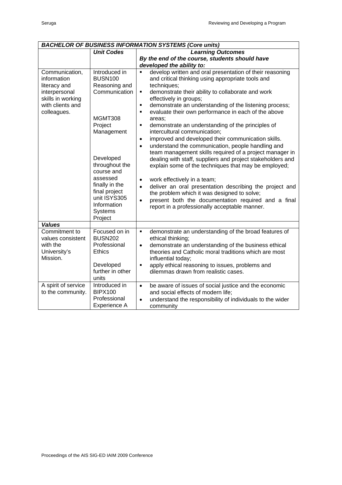| <b>BACHELOR OF BUSINESS INFORMATION SYSTEMS (Core units)</b>                                                           |                                                                                                                                                                                                                                                        |                                                                                                                                                                                                                                                                                                                                                                                                                                                                                                                                                                                                                                                                                                                                                                                                                                                                                                                                                                                                                                                                                               |  |  |  |
|------------------------------------------------------------------------------------------------------------------------|--------------------------------------------------------------------------------------------------------------------------------------------------------------------------------------------------------------------------------------------------------|-----------------------------------------------------------------------------------------------------------------------------------------------------------------------------------------------------------------------------------------------------------------------------------------------------------------------------------------------------------------------------------------------------------------------------------------------------------------------------------------------------------------------------------------------------------------------------------------------------------------------------------------------------------------------------------------------------------------------------------------------------------------------------------------------------------------------------------------------------------------------------------------------------------------------------------------------------------------------------------------------------------------------------------------------------------------------------------------------|--|--|--|
|                                                                                                                        | <b>Unit Codes</b>                                                                                                                                                                                                                                      | <b>Learning Outcomes</b>                                                                                                                                                                                                                                                                                                                                                                                                                                                                                                                                                                                                                                                                                                                                                                                                                                                                                                                                                                                                                                                                      |  |  |  |
|                                                                                                                        |                                                                                                                                                                                                                                                        | By the end of the course, students should have                                                                                                                                                                                                                                                                                                                                                                                                                                                                                                                                                                                                                                                                                                                                                                                                                                                                                                                                                                                                                                                |  |  |  |
|                                                                                                                        |                                                                                                                                                                                                                                                        | developed the ability to:                                                                                                                                                                                                                                                                                                                                                                                                                                                                                                                                                                                                                                                                                                                                                                                                                                                                                                                                                                                                                                                                     |  |  |  |
| Communication,<br>information<br>literacy and<br>interpersonal<br>skills in working<br>with clients and<br>colleagues. | Introduced in<br><b>BUSN100</b><br>Reasoning and<br>Communication<br>MGMT308<br>Project<br>Management<br>Developed<br>throughout the<br>course and<br>assessed<br>finally in the<br>final project<br>unit ISYS305<br>Information<br>Systems<br>Project | develop written and oral presentation of their reasoning<br>٠<br>and critical thinking using appropriate tools and<br>techniques;<br>demonstrate their ability to collaborate and work<br>٠<br>effectively in groups;<br>demonstrate an understanding of the listening process;<br>$\blacksquare$<br>evaluate their own performance in each of the above<br>$\blacksquare$<br>areas;<br>demonstrate an understanding of the principles of<br>×,<br>intercultural communication;<br>improved and developed their communication skills.<br>$\bullet$<br>understand the communication, people handling and<br>$\bullet$<br>team management skills required of a project manager in<br>dealing with staff, suppliers and project stakeholders and<br>explain some of the techniques that may be employed;<br>work effectively in a team;<br>$\bullet$<br>deliver an oral presentation describing the project and<br>$\bullet$<br>the problem which it was designed to solve;<br>present both the documentation required and a final<br>$\bullet$<br>report in a professionally acceptable manner. |  |  |  |
| <b>Values</b><br>Commitment to                                                                                         | Focused on in                                                                                                                                                                                                                                          | demonstrate an understanding of the broad features of<br>٠                                                                                                                                                                                                                                                                                                                                                                                                                                                                                                                                                                                                                                                                                                                                                                                                                                                                                                                                                                                                                                    |  |  |  |
| values consistent                                                                                                      | <b>BUSN202</b>                                                                                                                                                                                                                                         | ethical thinking;                                                                                                                                                                                                                                                                                                                                                                                                                                                                                                                                                                                                                                                                                                                                                                                                                                                                                                                                                                                                                                                                             |  |  |  |
| with the                                                                                                               | Professional                                                                                                                                                                                                                                           | demonstrate an understanding of the business ethical<br>$\bullet$                                                                                                                                                                                                                                                                                                                                                                                                                                                                                                                                                                                                                                                                                                                                                                                                                                                                                                                                                                                                                             |  |  |  |
| University's                                                                                                           | <b>Ethics</b>                                                                                                                                                                                                                                          | theories and Catholic moral traditions which are most                                                                                                                                                                                                                                                                                                                                                                                                                                                                                                                                                                                                                                                                                                                                                                                                                                                                                                                                                                                                                                         |  |  |  |
| Mission.                                                                                                               |                                                                                                                                                                                                                                                        | influential today;                                                                                                                                                                                                                                                                                                                                                                                                                                                                                                                                                                                                                                                                                                                                                                                                                                                                                                                                                                                                                                                                            |  |  |  |
|                                                                                                                        | Developed                                                                                                                                                                                                                                              | apply ethical reasoning to issues, problems and<br>۰                                                                                                                                                                                                                                                                                                                                                                                                                                                                                                                                                                                                                                                                                                                                                                                                                                                                                                                                                                                                                                          |  |  |  |
|                                                                                                                        | further in other                                                                                                                                                                                                                                       | dilemmas drawn from realistic cases.                                                                                                                                                                                                                                                                                                                                                                                                                                                                                                                                                                                                                                                                                                                                                                                                                                                                                                                                                                                                                                                          |  |  |  |
|                                                                                                                        | units                                                                                                                                                                                                                                                  |                                                                                                                                                                                                                                                                                                                                                                                                                                                                                                                                                                                                                                                                                                                                                                                                                                                                                                                                                                                                                                                                                               |  |  |  |
| A spirit of service                                                                                                    | Introduced in                                                                                                                                                                                                                                          | be aware of issues of social justice and the economic<br>$\bullet$                                                                                                                                                                                                                                                                                                                                                                                                                                                                                                                                                                                                                                                                                                                                                                                                                                                                                                                                                                                                                            |  |  |  |
| to the community.                                                                                                      | <b>BIPX100</b>                                                                                                                                                                                                                                         | and social effects of modern life;                                                                                                                                                                                                                                                                                                                                                                                                                                                                                                                                                                                                                                                                                                                                                                                                                                                                                                                                                                                                                                                            |  |  |  |
|                                                                                                                        | Professional                                                                                                                                                                                                                                           | understand the responsibility of individuals to the wider<br>$\bullet$                                                                                                                                                                                                                                                                                                                                                                                                                                                                                                                                                                                                                                                                                                                                                                                                                                                                                                                                                                                                                        |  |  |  |
|                                                                                                                        | Experience A                                                                                                                                                                                                                                           | community                                                                                                                                                                                                                                                                                                                                                                                                                                                                                                                                                                                                                                                                                                                                                                                                                                                                                                                                                                                                                                                                                     |  |  |  |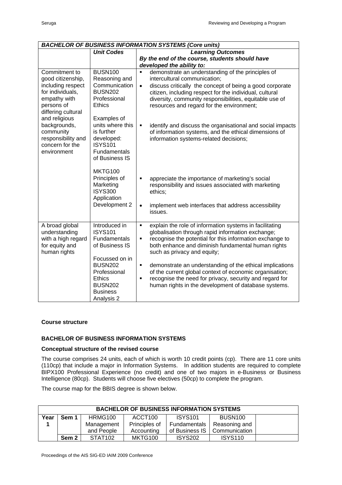| <b>BACHELOR OF BUSINESS INFORMATION SYSTEMS (Core units)</b>                                                                                                                                                                          |                                                                                                                                                                                                                        |                                                                                                                                                                                                                                                                                                                                                                                                                                                                                                                                    |  |  |  |
|---------------------------------------------------------------------------------------------------------------------------------------------------------------------------------------------------------------------------------------|------------------------------------------------------------------------------------------------------------------------------------------------------------------------------------------------------------------------|------------------------------------------------------------------------------------------------------------------------------------------------------------------------------------------------------------------------------------------------------------------------------------------------------------------------------------------------------------------------------------------------------------------------------------------------------------------------------------------------------------------------------------|--|--|--|
|                                                                                                                                                                                                                                       | <b>Unit Codes</b>                                                                                                                                                                                                      | <b>Learning Outcomes</b>                                                                                                                                                                                                                                                                                                                                                                                                                                                                                                           |  |  |  |
|                                                                                                                                                                                                                                       |                                                                                                                                                                                                                        | By the end of the course, students should have                                                                                                                                                                                                                                                                                                                                                                                                                                                                                     |  |  |  |
|                                                                                                                                                                                                                                       |                                                                                                                                                                                                                        | developed the ability to:                                                                                                                                                                                                                                                                                                                                                                                                                                                                                                          |  |  |  |
| Commitment to<br>good citizenship,<br>including respect<br>for individuals,<br>empathy with<br>persons of<br>differing cultural<br>and religious<br>backgrounds,<br>community<br>responsibility and<br>concern for the<br>environment | <b>BUSN100</b><br>Reasoning and<br>Communication<br><b>BUSN202</b><br>Professional<br><b>Ethics</b><br>Examples of<br>units where this<br>is further<br>developed:<br><b>ISYS101</b><br>Fundamentals<br>of Business IS | demonstrate an understanding of the principles of<br>$\blacksquare$<br>intercultural communication;<br>discuss critically the concept of being a good corporate<br>$\bullet$<br>citizen, including respect for the individual, cultural<br>diversity, community responsibilities, equitable use of<br>resources and regard for the environment;<br>identify and discuss the organisational and social impacts<br>$\blacksquare$<br>of information systems, and the ethical dimensions of<br>information systems-related decisions; |  |  |  |
|                                                                                                                                                                                                                                       | MKTG100<br>Principles of<br>Marketing<br><b>ISYS300</b><br>Application<br>Development 2                                                                                                                                | appreciate the importance of marketing's social<br>٠<br>responsibility and issues associated with marketing<br>ethics;<br>implement web interfaces that address accessibility<br>$\bullet$<br>issues.                                                                                                                                                                                                                                                                                                                              |  |  |  |
| A broad global<br>understanding<br>with a high regard<br>for equity and<br>human rights                                                                                                                                               | Introduced in<br><b>ISYS101</b><br>Fundamentals<br>of Business IS<br>Focussed on in<br><b>BUSN202</b><br>Professional<br><b>Ethics</b><br><b>BUSN202</b><br><b>Business</b><br>Analysis 2                              | explain the role of information systems in facilitating<br>×,<br>globalisation through rapid information exchange;<br>recognise the potential for this information exchange to<br>×,<br>both enhance and diminish fundamental human rights<br>such as privacy and equity;<br>demonstrate an understanding of the ethical implications<br>٠<br>of the current global context of economic organisation;<br>recognise the need for privacy, security and regard for<br>×,<br>human rights in the development of database systems.     |  |  |  |

#### **Course structure**

#### **BACHELOR OF BUSINESS INFORMATION SYSTEMS**

#### **Conceptual structure of the revised course**

The course comprises 24 units, each of which is worth 10 credit points (cp). There are 11 core units (110cp) that include a major in Information Systems. In addition students are required to complete BIPX100 Professional Experience (no credit) and one of two majors in e-Business or Business Intelligence (80cp). Students will choose five electives (50cp) to complete the program.

The course map for the BBIS degree is shown below.

| <b>BACHELOR OF BUSINESS INFORMATION SYSTEMS</b> |                                                                 |                     |               |                |                |  |  |  |
|-------------------------------------------------|-----------------------------------------------------------------|---------------------|---------------|----------------|----------------|--|--|--|
| Year                                            | HRMG100<br><b>ISYS101</b><br><b>BUSN100</b><br>ACCT100<br>Sem 1 |                     |               |                |                |  |  |  |
|                                                 |                                                                 | Management          | Principles of | Fundamentals   | Reasoning and  |  |  |  |
|                                                 |                                                                 | and People          | Accounting    | of Business IS | Communication  |  |  |  |
|                                                 | Sem 2                                                           | STAT <sub>102</sub> | MKTG100       | <b>ISYS202</b> | <b>ISYS110</b> |  |  |  |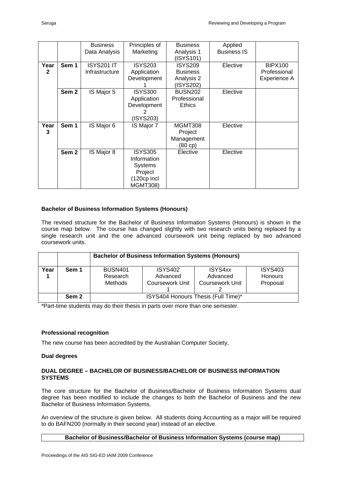|      |                  | <b>Business</b> | Principles of   | <b>Business</b> | Applied            |                |
|------|------------------|-----------------|-----------------|-----------------|--------------------|----------------|
|      |                  | Data Analysis   | Marketing       | Analysis 1      | <b>Business IS</b> |                |
|      |                  |                 |                 | (ISYS101)       |                    |                |
| Year | Sem 1            | ISYS201 IT      | <b>ISYS203</b>  | <b>ISYS209</b>  | Elective           | <b>BIPX100</b> |
| 2    |                  | Infrastructure  | Application     | <b>Business</b> |                    | Professional   |
|      |                  |                 | Development     | Analysis 2      |                    | Experience A   |
|      |                  |                 |                 | (ISYS202)       |                    |                |
|      | Sem <sub>2</sub> | IS Major 5      | <b>ISYS300</b>  | <b>BUSN202</b>  | Elective           |                |
|      |                  |                 | Application     | Professional    |                    |                |
|      |                  |                 | Development     | <b>Ethics</b>   |                    |                |
|      |                  |                 | 2               |                 |                    |                |
|      |                  |                 | (ISYS203)       |                 |                    |                |
| Year | Sem 1            | IS Major 6      | IS Major 7      | MGMT308         | Elective           |                |
| 3    |                  |                 |                 | Project         |                    |                |
|      |                  |                 |                 | Management      |                    |                |
|      |                  |                 |                 | (80 cp)         |                    |                |
|      | Sem <sub>2</sub> | IS Major 8      | <b>ISYS305</b>  | Elective        | Elective           |                |
|      |                  |                 | Information     |                 |                    |                |
|      |                  |                 | Systems         |                 |                    |                |
|      |                  |                 | Project         |                 |                    |                |
|      |                  |                 | (120cp incl     |                 |                    |                |
|      |                  |                 | <b>MGMT308)</b> |                 |                    |                |
|      |                  |                 |                 |                 |                    |                |

#### **Bachelor of Business Information Systems (Honours)**

The revised structure for the Bachelor of Business Information Systems (Honours) is shown in the course map below. The course has changed slightly with two research units being replaced by a single research unit and the one advanced coursework unit being replaced by two advanced coursework units.

|      |                  | <b>Bachelor of Business Information Systems (Honours)</b>                                     |  |                                                                                               |  |  |
|------|------------------|-----------------------------------------------------------------------------------------------|--|-----------------------------------------------------------------------------------------------|--|--|
| Year | Sem 1            | <b>BUSN401</b><br><b>ISYS402</b><br>Advanced<br>Research<br>Coursework Unit<br><b>Methods</b> |  | ISYS4xx<br><b>ISYS403</b><br><b>Honours</b><br>Advanced<br><b>Coursework Unit</b><br>Proposal |  |  |
|      | Sem <sub>2</sub> | ISYS404 Honours Thesis (Full Time)*                                                           |  |                                                                                               |  |  |

\*Part-time students may do their thesis in parts over more than one semester.

#### **Professional recognition**

The new course has been accredited by the Australian Computer Society,

#### **Dual degrees**

#### **DUAL DEGREE – BACHELOR OF BUSINESS/BACHELOR OF BUSINESS INFORMATION SYSTEMS**

The core structure for the Bachelor of Business/Bachelor of Business Information Systems dual degree has been modified to include the changes to both the Bachelor of Business and the new Bachelor of Business Information Systems.

An overview of the structure is given below. All students doing Accounting as a major will be required to do BAFN200 (normally in their second year) instead of an elective.

#### **Bachelor of Business/Bachelor of Business Information Systems (course map)**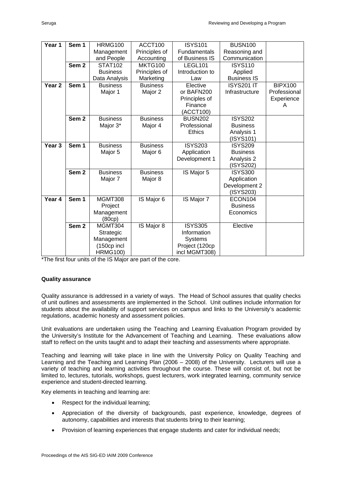| Year 1            | Sem 1            | <b>HRMG100</b>  | ACCT100         | <b>ISYS101</b>  | <b>BUSN100</b>     |                |
|-------------------|------------------|-----------------|-----------------|-----------------|--------------------|----------------|
|                   |                  | Management      | Principles of   | Fundamentals    | Reasoning and      |                |
|                   |                  | and People      | Accounting      | of Business IS  | Communication      |                |
|                   | Sem <sub>2</sub> | <b>STAT102</b>  | MKTG100         | LEGL101         | <b>ISYS110</b>     |                |
|                   |                  | <b>Business</b> | Principles of   | Introduction to | Applied            |                |
|                   |                  | Data Analysis   | Marketing       | Law             | <b>Business IS</b> |                |
| Year <sub>2</sub> | Sem 1            | <b>Business</b> | <b>Business</b> | Elective        | <b>ISYS201 IT</b>  | <b>BIPX100</b> |
|                   |                  | Major 1         | Major 2         | or BAFN200      | Infrastructure     | Professional   |
|                   |                  |                 |                 | Principles of   |                    | Experience     |
|                   |                  |                 |                 | Finance         |                    | A              |
|                   |                  |                 |                 | (ACCT100)       |                    |                |
|                   | Sem <sub>2</sub> | <b>Business</b> | <b>Business</b> | <b>BUSN202</b>  | <b>ISYS202</b>     |                |
|                   |                  | Major 3*        | Major 4         | Professional    | <b>Business</b>    |                |
|                   |                  |                 |                 | <b>Ethics</b>   | Analysis 1         |                |
|                   |                  |                 |                 |                 | (ISYS101)          |                |
| Year <sub>3</sub> | Sem <sub>1</sub> | <b>Business</b> | <b>Business</b> | <b>ISYS203</b>  | <b>ISYS209</b>     |                |
|                   |                  | Major 5         | Major 6         | Application     | <b>Business</b>    |                |
|                   |                  |                 |                 | Development 1   | Analysis 2         |                |
|                   |                  |                 |                 |                 | (ISYS202)          |                |
|                   | Sem <sub>2</sub> | <b>Business</b> | <b>Business</b> | IS Major 5      | <b>ISYS300</b>     |                |
|                   |                  | Major 7         | Major 8         |                 | Application        |                |
|                   |                  |                 |                 |                 | Development 2      |                |
|                   |                  |                 |                 |                 | (ISYS203)          |                |
| Year 4            | Sem 1            | MGMT308         | IS Major 6      | IS Major 7      | ECON104            |                |
|                   |                  | Project         |                 |                 | <b>Business</b>    |                |
|                   |                  | Management      |                 |                 | Economics          |                |
|                   |                  | (80cp)          |                 |                 |                    |                |
|                   | Sem <sub>2</sub> | MGMT304         | IS Major 8      | <b>ISYS305</b>  | Elective           |                |
|                   |                  | Strategic       |                 | Information     |                    |                |
|                   |                  | Management      |                 | <b>Systems</b>  |                    |                |
|                   |                  | (150cp incl     |                 | Project (120cp  |                    |                |
|                   |                  | <b>HRMG100)</b> |                 | incl MGMT308)   |                    |                |

\*The first four units of the IS Major are part of the core.

#### **Quality assurance**

Quality assurance is addressed in a variety of ways. The Head of School assures that quality checks of unit outlines and assessments are implemented in the School. Unit outlines include information for students about the availability of support services on campus and links to the University's academic regulations, academic honesty and assessment policies.

Unit evaluations are undertaken using the Teaching and Learning Evaluation Program provided by the University's Institute for the Advancement of Teaching and Learning. These evaluations allow staff to reflect on the units taught and to adapt their teaching and assessments where appropriate.

Teaching and learning will take place in line with the University Policy on Quality Teaching and Learning and the Teaching and Learning Plan (2006 – 2008) of the University. Lecturers will use a variety of teaching and learning activities throughout the course. These will consist of, but not be limited to, lectures, tutorials, workshops, guest lecturers, work integrated learning, community service experience and student-directed learning.

Key elements in teaching and learning are:

- Respect for the individual learning;
- Appreciation of the diversity of backgrounds, past experience, knowledge, degrees of autonomy, capabilities and interests that students bring to their learning;
- Provision of learning experiences that engage students and cater for individual needs;